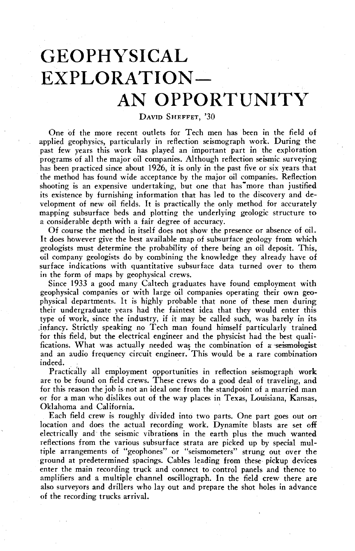## GEOPHYSICAL EXPLORATION-AN OPPORTUNITY

One of the more recent outlets for Tech men has been in the field of applied geophysics, particularly in reflection seismograph work. During the past few years this work has played an important part in the exploration programs of all the major oil companies. Although reflection seismic surveying has been practiced since about 1926, it is only in the past five or six years that the method has found wide acceptance by the major oil companies. Reflection shooting is an expensive undertaking, but one that has'more than justified its existence by furnishing information that has led to the discovery and development of new oil fields. It is oracticallv the onlv method for accurately mapping subsurface beds and plotting the underlying geologic structure to a considerable depth with a fair degree of accuracy.

Of course the method in itself does not show the presence or absence of oil. It does however give the best available map of subsurface geology from which geologists must determine the probability of there being an oil deposit. This, oil company geologists do by combining the knowledge they already have of surface indications with quantitative subsurface data turned over to them in the form of maps by geophysical crews.

Since 1933 a good many Caltech graduates have found employment with geophysical companies or with large oil companies operating their own geophysical departments. It is highly probable that none of these men during their undergraduate years had the faintest idea that they would enter this type of work, since the industry, if it may be called such, was barely in its infancy. Strictly speaking no Tech man found himself particularly trained for this field, but the electrical engineer and the physicist had the best qualifications. What was actually needed was the combination of a seismologist and an audio frequency circuit engineer. This would be a rare combination indeed.

Practically all employment opportunities in reflection seismograph work are to be found on field crews. These crews do a good deal of traveling, and for this reason the job is not an ideal one from the standpoint of a married man or for a man who dislikes out of the way places in Texas, Louisiana, Kansas, Oklahoma and California.

Each field crew is roughly divided into two parts. One part goes out on location and does the actual recording work. Dynamite blasts are set off electrically and the seismic vibrations in the earth plus the much wanted reflections from the various subsurface strata are picked up by special multiple arrangements of "geophones" or "seismometers" strung out over the ground at predetermined spacings. Cables leading from these pickup devices enter the main recording truck and connect to control panels and thence to amplifiers and a multiple channel oscillograph. In the field crew there are also surveyors and drillers who lay out and prepare the shot holes in advance of the recording trucks arrival.